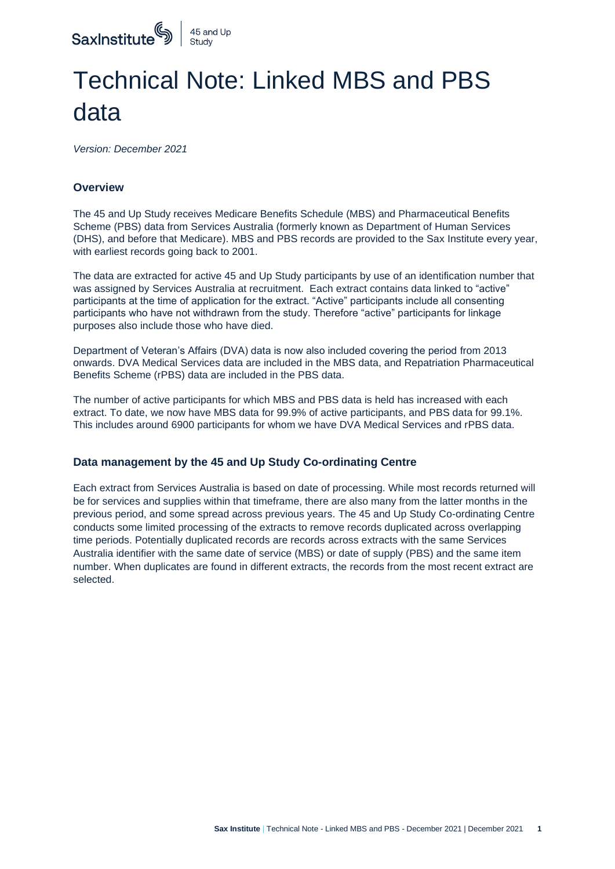

## Technical Note: Linked MBS and PBS data

*Version: December 2021*

## **Overview**

The 45 and Up Study receives Medicare Benefits Schedule (MBS) and Pharmaceutical Benefits Scheme (PBS) data from Services Australia (formerly known as Department of Human Services (DHS), and before that Medicare). MBS and PBS records are provided to the Sax Institute every year, with earliest records going back to 2001.

The data are extracted for active 45 and Up Study participants by use of an identification number that was assigned by Services Australia at recruitment. Each extract contains data linked to "active" participants at the time of application for the extract. "Active" participants include all consenting participants who have not withdrawn from the study. Therefore "active" participants for linkage purposes also include those who have died.

Department of Veteran's Affairs (DVA) data is now also included covering the period from 2013 onwards. DVA Medical Services data are included in the MBS data, and Repatriation Pharmaceutical Benefits Scheme (rPBS) data are included in the PBS data.

The number of active participants for which MBS and PBS data is held has increased with each extract. To date, we now have MBS data for 99.9% of active participants, and PBS data for 99.1%. This includes around 6900 participants for whom we have DVA Medical Services and rPBS data.

## **Data management by the 45 and Up Study Co-ordinating Centre**

Each extract from Services Australia is based on date of processing. While most records returned will be for services and supplies within that timeframe, there are also many from the latter months in the previous period, and some spread across previous years. The 45 and Up Study Co-ordinating Centre conducts some limited processing of the extracts to remove records duplicated across overlapping time periods. Potentially duplicated records are records across extracts with the same Services Australia identifier with the same date of service (MBS) or date of supply (PBS) and the same item number. When duplicates are found in different extracts, the records from the most recent extract are selected.